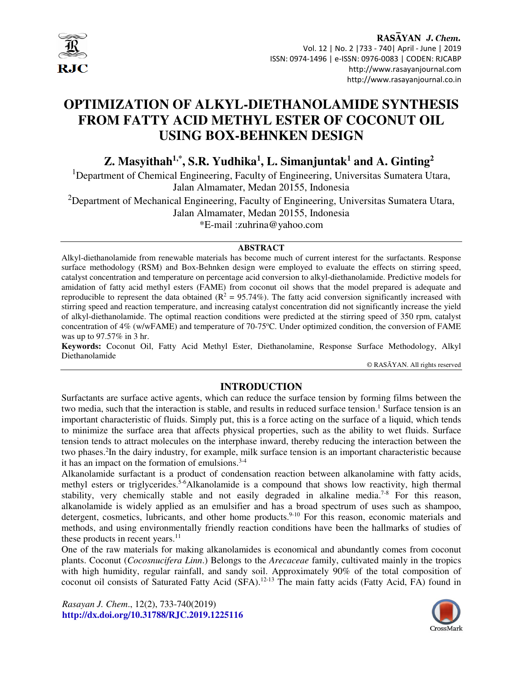

# **OPTIMIZATION OF ALKYL-DIETHANOLAMIDE SYNTHESIS FROM FATTY ACID METHYL ESTER OF COCONUT OIL USING BOX-BEHNKEN DESIGN**

## **Z. Masyithah1,\*, S.R. Yudhika<sup>1</sup> , L. Simanjuntak<sup>1</sup> and A. Ginting<sup>2</sup>**

<sup>1</sup>Department of Chemical Engineering, Faculty of Engineering, Universitas Sumatera Utara, Jalan Almamater, Medan 20155, Indonesia

<sup>2</sup>Department of Mechanical Engineering, Faculty of Engineering, Universitas Sumatera Utara, Jalan Almamater, Medan 20155, Indonesia

\*E-mail :zuhrina@yahoo.com

#### **ABSTRACT**

Alkyl-diethanolamide from renewable materials has become much of current interest for the surfactants. Response surface methodology (RSM) and Box-Behnken design were employed to evaluate the effects on stirring speed, catalyst concentration and temperature on percentage acid conversion to alkyl-diethanolamide. Predictive models for amidation of fatty acid methyl esters (FAME) from coconut oil shows that the model prepared is adequate and reproducible to represent the data obtained ( $\mathbb{R}^2 = 95.74\%$ ). The fatty acid conversion significantly increased with stirring speed and reaction temperature, and increasing catalyst concentration did not significantly increase the yield of alkyl-diethanolamide. The optimal reaction conditions were predicted at the stirring speed of 350 rpm, catalyst concentration of 4% (w/wFAME) and temperature of 70-75°C. Under optimized condition, the conversion of FAME was up to 97.57% in 3 hr.

**Keywords:** Coconut Oil, Fatty Acid Methyl Ester, Diethanolamine, Response Surface Methodology, Alkyl Diethanolamide

© RASĀYAN. All rights reserved

## **INTRODUCTION**

Surfactants are surface active agents, which can reduce the surface tension by forming films between the two media, such that the interaction is stable, and results in reduced surface tension.<sup>1</sup> Surface tension is an important characteristic of fluids. Simply put, this is a force acting on the surface of a liquid, which tends to minimize the surface area that affects physical properties, such as the ability to wet fluids. Surface tension tends to attract molecules on the interphase inward, thereby reducing the interaction between the two phases.<sup>2</sup>In the dairy industry, for example, milk surface tension is an important characteristic because it has an impact on the formation of emulsions.<sup>3-4</sup>

Alkanolamide surfactant is a product of condensation reaction between alkanolamine with fatty acids, methyl esters or triglycerides.<sup>5-6</sup>Alkanolamide is a compound that shows low reactivity, high thermal stability, very chemically stable and not easily degraded in alkaline media.<sup>7-8</sup> For this reason, alkanolamide is widely applied as an emulsifier and has a broad spectrum of uses such as shampoo, detergent, cosmetics, lubricants, and other home products.<sup>9-10</sup> For this reason, economic materials and methods, and using environmentally friendly reaction conditions have been the hallmarks of studies of these products in recent years. $^{11}$ 

One of the raw materials for making alkanolamides is economical and abundantly comes from coconut plants. Coconut (*Cocosnucifera Linn*.) Belongs to the *Arecaceae* family, cultivated mainly in the tropics with high humidity, regular rainfall, and sandy soil. Approximately 90% of the total composition of coconut oil consists of Saturated Fatty Acid (SFA).12-13 The main fatty acids (Fatty Acid, FA) found in

*Rasayan J. Chem*., 12(2), 733-740(2019) **http://dx.doi.org/10.31788/RJC.2019.1225116** 

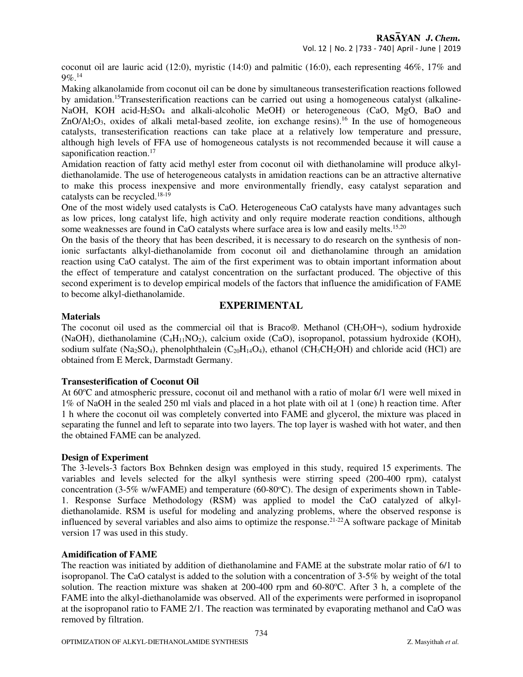coconut oil are lauric acid (12:0), myristic (14:0) and palmitic (16:0), each representing  $46\%$ ,  $17\%$  and 9%.<sup>14</sup>

Making alkanolamide from coconut oil can be done by simultaneous transesterification reactions followed by amidation.15Transesterification reactions can be carried out using a homogeneous catalyst (alkaline-NaOH, KOH acid-H<sub>2</sub>SO<sub>4</sub> and alkali-alcoholic MeOH) or heterogeneous (CaO, MgO, BaO and  $ZnO/Al<sub>2</sub>O<sub>3</sub>$ , oxides of alkali metal-based zeolite, ion exchange resins).<sup>16</sup> In the use of homogeneous catalysts, transesterification reactions can take place at a relatively low temperature and pressure, although high levels of FFA use of homogeneous catalysts is not recommended because it will cause a saponification reaction.<sup>17</sup>

Amidation reaction of fatty acid methyl ester from coconut oil with diethanolamine will produce alkyldiethanolamide. The use of heterogeneous catalysts in amidation reactions can be an attractive alternative to make this process inexpensive and more environmentally friendly, easy catalyst separation and catalysts can be recycled.18-19

One of the most widely used catalysts is CaO. Heterogeneous CaO catalysts have many advantages such as low prices, long catalyst life, high activity and only require moderate reaction conditions, although some weaknesses are found in CaO catalysts where surface area is low and easily melts.<sup>15,20</sup>

On the basis of the theory that has been described, it is necessary to do research on the synthesis of nonionic surfactants alkyl-diethanolamide from coconut oil and diethanolamine through an amidation reaction using CaO catalyst. The aim of the first experiment was to obtain important information about the effect of temperature and catalyst concentration on the surfactant produced. The objective of this second experiment is to develop empirical models of the factors that influence the amidification of FAME to become alkyl-diethanolamide.

## **EXPERIMENTAL**

### **Materials**

The coconut oil used as the commercial oil that is Braco®. Methanol ( $CH_3OH\n\neg$ ), sodium hydroxide (NaOH), diethanolamine (C4H11NO2), calcium oxide (CaO), isopropanol, potassium hydroxide (KOH), sodium sulfate (Na<sub>2</sub>SO<sub>4</sub>), phenolphthalein (C<sub>20</sub>H<sub>14</sub>O<sub>4</sub>), ethanol (CH<sub>3</sub>CH<sub>2</sub>OH) and chloride acid (HCl) are obtained from E Merck, Darmstadt Germany.

#### **Transesterification of Coconut Oil**

At  $60^{\circ}$ C and atmospheric pressure, coconut oil and methanol with a ratio of molar  $6/1$  were well mixed in 1% of NaOH in the sealed 250 ml vials and placed in a hot plate with oil at 1 (one) h reaction time. After 1 h where the coconut oil was completely converted into FAME and glycerol, the mixture was placed in separating the funnel and left to separate into two layers. The top layer is washed with hot water, and then the obtained FAME can be analyzed.

#### **Design of Experiment**

The 3-levels-3 factors Box Behnken design was employed in this study, required 15 experiments. The variables and levels selected for the alkyl synthesis were stirring speed (200-400 rpm), catalyst concentration (3-5% w/wFAME) and temperature (60-80 $^{\circ}$ C). The design of experiments shown in Table-1. Response Surface Methodology (RSM) was applied to model the CaO catalyzed of alkyldiethanolamide. RSM is useful for modeling and analyzing problems, where the observed response is influenced by several variables and also aims to optimize the response.21-22A software package of Minitab version 17 was used in this study.

#### **Amidification of FAME**

The reaction was initiated by addition of diethanolamine and FAME at the substrate molar ratio of 6/1 to isopropanol. The CaO catalyst is added to the solution with a concentration of 3-5% by weight of the total solution. The reaction mixture was shaken at 200-400 rpm and 60-80°C. After 3 h, a complete of the FAME into the alkyl-diethanolamide was observed. All of the experiments were performed in isopropanol at the isopropanol ratio to FAME 2/1. The reaction was terminated by evaporating methanol and CaO was removed by filtration.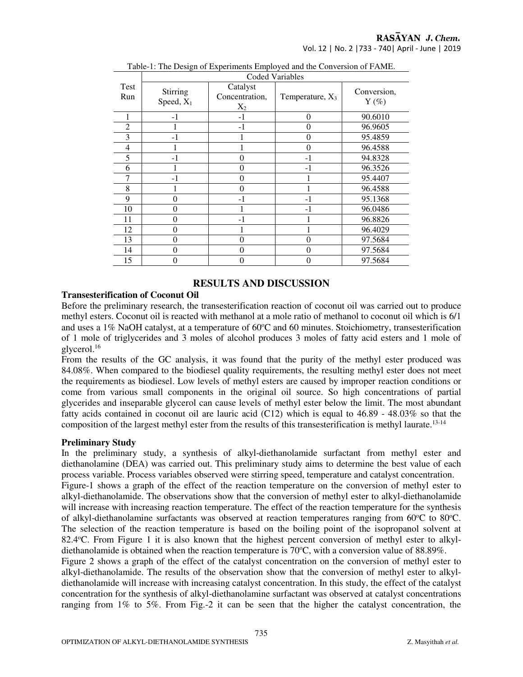## RASAYAN J. Chem.

Vol. 12 | No. 2 |733 - 740| April - June | 2019

|             | <b>Coded Variables</b>   |                                     |                    |                        |
|-------------|--------------------------|-------------------------------------|--------------------|------------------------|
| Test<br>Run | Stirring<br>Speed, $X_1$ | Catalyst<br>Concentration,<br>$X_2$ | Temperature, $X_3$ | Conversion,<br>$Y$ (%) |
|             | $-1$                     | -1                                  | $\Omega$           | 90.6010                |
| 2           |                          | $-1$                                | 0                  | 96.9605                |
| 3           | - 1                      |                                     | $\Omega$           | 95.4859                |
| 4           |                          |                                     | 0                  | 96.4588                |
| 5           | - 1                      | $\theta$                            | $-1$               | 94.8328                |
| 6           |                          | $\theta$                            | $-1$               | 96.3526                |
|             | $-1$                     | $\theta$                            |                    | 95.4407                |
| 8           |                          | $\theta$                            |                    | 96.4588                |
| 9           | 0                        | $-1$                                | $-1$               | 95.1368                |
| 10          | $\theta$                 | 1                                   | $-1$               | 96.0486                |
| 11          | $\theta$                 | $-1$                                |                    | 96.8826                |
| 12          | $\theta$                 |                                     |                    | 96.4029                |
| 13          | $\Omega$                 | $\theta$                            | 0                  | 97.5684                |
| 14          | $\Omega$                 | $\theta$                            | $\Omega$           | 97.5684                |
| 15          | $\theta$                 | $\theta$                            | 0                  | 97.5684                |

Table-1: The Design of Experiments Employed and the Conversion of FAME.

#### **RESULTS AND DISCUSSION**

#### **Transesterification of Coconut Oil**

Before the preliminary research, the transesterification reaction of coconut oil was carried out to produce methyl esters. Coconut oil is reacted with methanol at a mole ratio of methanol to coconut oil which is 6/1 and uses a 1% NaOH catalyst, at a temperature of  $60^{\circ}$ C and  $60$  minutes. Stoichiometry, transesterification of 1 mole of triglycerides and 3 moles of alcohol produces 3 moles of fatty acid esters and 1 mole of glycerol.<sup>16</sup>

From the results of the GC analysis, it was found that the purity of the methyl ester produced was 84.08%. When compared to the biodiesel quality requirements, the resulting methyl ester does not meet the requirements as biodiesel. Low levels of methyl esters are caused by improper reaction conditions or come from various small components in the original oil source. So high concentrations of partial glycerides and inseparable glycerol can cause levels of methyl ester below the limit. The most abundant fatty acids contained in coconut oil are lauric acid (C12) which is equal to 46.89 - 48.03% so that the composition of the largest methyl ester from the results of this transesterification is methyl laurate.<sup>13-14</sup>

#### **Preliminary Study**

In the preliminary study, a synthesis of alkyl-diethanolamide surfactant from methyl ester and diethanolamine (DEA) was carried out. This preliminary study aims to determine the best value of each process variable. Process variables observed were stirring speed, temperature and catalyst concentration.

Figure-1 shows a graph of the effect of the reaction temperature on the conversion of methyl ester to alkyl-diethanolamide. The observations show that the conversion of methyl ester to alkyl-diethanolamide will increase with increasing reaction temperature. The effect of the reaction temperature for the synthesis of alkyl-diethanolamine surfactants was observed at reaction temperatures ranging from  $60^{\circ}$ C to  $80^{\circ}$ C. The selection of the reaction temperature is based on the boiling point of the isopropanol solvent at 82.4<sup>o</sup>C. From Figure 1 it is also known that the highest percent conversion of methyl ester to alkyldiethanolamide is obtained when the reaction temperature is  $70^{\circ}$ C, with a conversion value of 88.89%.

Figure 2 shows a graph of the effect of the catalyst concentration on the conversion of methyl ester to alkyl-diethanolamide. The results of the observation show that the conversion of methyl ester to alkyldiethanolamide will increase with increasing catalyst concentration. In this study, the effect of the catalyst concentration for the synthesis of alkyl-diethanolamine surfactant was observed at catalyst concentrations ranging from 1% to 5%. From Fig.-2 it can be seen that the higher the catalyst concentration, the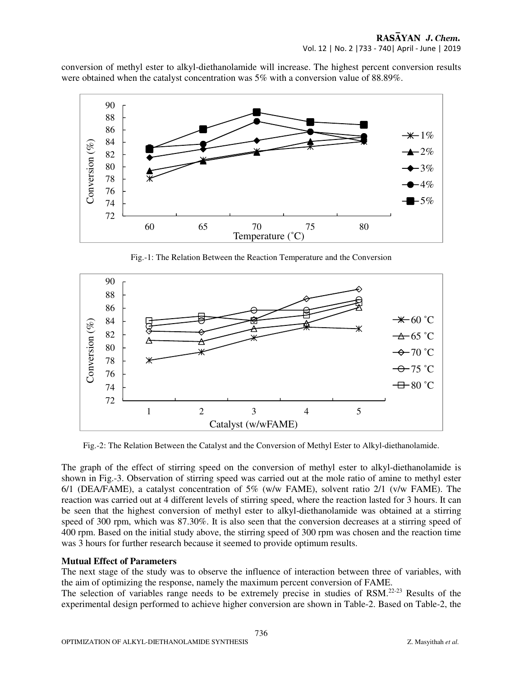conversion of methyl ester to alkyl-diethanolamide will increase. The highest percent conversion results were obtained when the catalyst concentration was 5% with a conversion value of 88.89%.



Fig.-1: The Relation Between the Reaction Temperature and the Conversion



Fig.-2: The Relation Between the Catalyst and the Conversion of Methyl Ester to Alkyl-diethanolamide.

The graph of the effect of stirring speed on the conversion of methyl ester to alkyl-diethanolamide is shown in Fig.-3. Observation of stirring speed was carried out at the mole ratio of amine to methyl ester 6/1 (DEA/FAME), a catalyst concentration of 5% (w/w FAME), solvent ratio 2/1 (v/w FAME). The reaction was carried out at 4 different levels of stirring speed, where the reaction lasted for 3 hours. It can be seen that the highest conversion of methyl ester to alkyl-diethanolamide was obtained at a stirring speed of 300 rpm, which was 87.30%. It is also seen that the conversion decreases at a stirring speed of 400 rpm. Based on the initial study above, the stirring speed of 300 rpm was chosen and the reaction time was 3 hours for further research because it seemed to provide optimum results.

#### **Mutual Effect of Parameters**

The next stage of the study was to observe the influence of interaction between three of variables, with the aim of optimizing the response, namely the maximum percent conversion of FAME.

The selection of variables range needs to be extremely precise in studies of RSM.22-23 Results of the experimental design performed to achieve higher conversion are shown in Table-2. Based on Table-2, the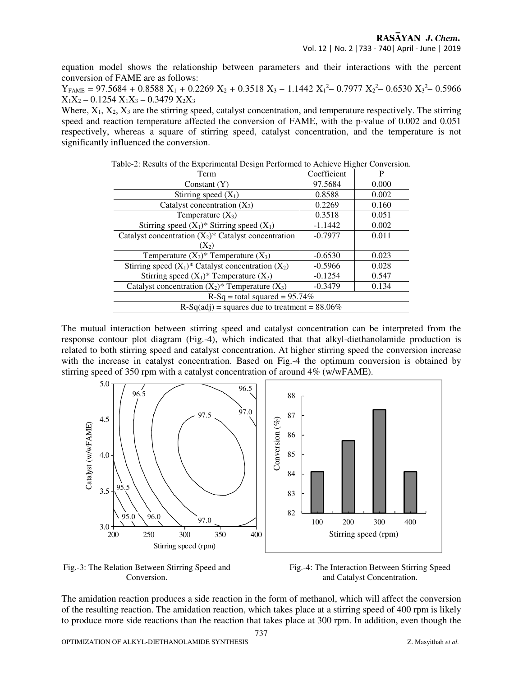equation model shows the relationship between parameters and their interactions with the percent conversion of FAME are as follows:

 $Y_{FAME} = 97.5684 + 0.8588 X_1 + 0.2269 X_2 + 0.3518 X_3 - 1.1442 X_1^2 - 0.7977 X_2^2 - 0.6530 X_3^2 - 0.5966$  $X_1X_2 - 0.1254 X_1X_3 - 0.3479 X_2X_3$ 

Where,  $X_1, X_2, X_3$  are the stirring speed, catalyst concentration, and temperature respectively. The stirring speed and reaction temperature affected the conversion of FAME, with the p-value of 0.002 and 0.051 respectively, whereas a square of stirring speed, catalyst concentration, and the temperature is not significantly influenced the conversion.

|                                                 | radic-2. Kesuns of the Experimental Design Ferrormed to Achieve Frigher Conversion. |  |  |  |  |
|-------------------------------------------------|-------------------------------------------------------------------------------------|--|--|--|--|
| Coefficient                                     | P                                                                                   |  |  |  |  |
| 97.5684                                         | 0.000                                                                               |  |  |  |  |
| 0.8588                                          | 0.002                                                                               |  |  |  |  |
| 0.2269                                          | 0.160                                                                               |  |  |  |  |
| 0.3518                                          | 0.051                                                                               |  |  |  |  |
| $-1.1442$                                       | 0.002                                                                               |  |  |  |  |
| $-0.7977$                                       | 0.011                                                                               |  |  |  |  |
|                                                 |                                                                                     |  |  |  |  |
| $-0.6530$                                       | 0.023                                                                               |  |  |  |  |
| $-0.5966$                                       | 0.028                                                                               |  |  |  |  |
| $-0.1254$                                       | 0.547                                                                               |  |  |  |  |
| $-0.3479$                                       | 0.134                                                                               |  |  |  |  |
| $R-Sq = total squared = 95.74%$                 |                                                                                     |  |  |  |  |
| $R-Sq(adj)$ = squares due to treatment = 88.06% |                                                                                     |  |  |  |  |
|                                                 |                                                                                     |  |  |  |  |

Table-2: Results of the Experimental Design Performed to Achieve Higher Conversion.

The mutual interaction between stirring speed and catalyst concentration can be interpreted from the response contour plot diagram (Fig.-4), which indicated that that alkyl-diethanolamide production is related to both stirring speed and catalyst concentration. At higher stirring speed the conversion increase with the increase in catalyst concentration. Based on Fig.-4 the optimum conversion is obtained by stirring speed of 350 rpm with a catalyst concentration of around 4% (w/wFAME).



Fig.-3: The Relation Between Stirring Speed and Conversion.

 Fig.-4: The Interaction Between Stirring Speed and Catalyst Concentration.

The amidation reaction produces a side reaction in the form of methanol, which will affect the conversion of the resulting reaction. The amidation reaction, which takes place at a stirring speed of 400 rpm is likely to produce more side reactions than the reaction that takes place at 300 rpm. In addition, even though the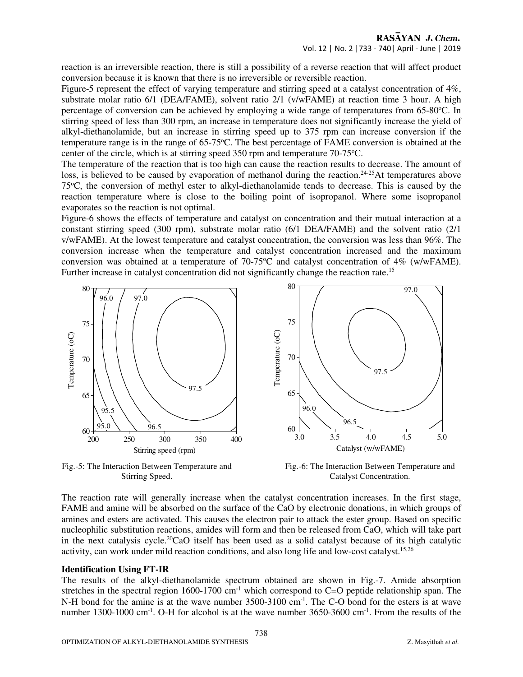reaction is an irreversible reaction, there is still a possibility of a reverse reaction that will affect product conversion because it is known that there is no irreversible or reversible reaction.

Figure-5 represent the effect of varying temperature and stirring speed at a catalyst concentration of  $4\%$ , substrate molar ratio 6/1 (DEA/FAME), solvent ratio 2/1 (v/wFAME) at reaction time 3 hour. A high percentage of conversion can be achieved by employing a wide range of temperatures from  $65{\text -}80^{\circ}\text{C}$ . In stirring speed of less than 300 rpm, an increase in temperature does not significantly increase the yield of alkyl-diethanolamide, but an increase in stirring speed up to 375 rpm can increase conversion if the temperature range is in the range of 65-75 °C. The best percentage of FAME conversion is obtained at the center of the circle, which is at stirring speed 350 rpm and temperature  $70-75^{\circ}$ C.

The temperature of the reaction that is too high can cause the reaction results to decrease. The amount of loss, is believed to be caused by evaporation of methanol during the reaction.<sup>24-25</sup>At temperatures above 75<sup>o</sup>C, the conversion of methyl ester to alkyl-diethanolamide tends to decrease. This is caused by the reaction temperature where is close to the boiling point of isopropanol. Where some isopropanol evaporates so the reaction is not optimal.

Figure-6 shows the effects of temperature and catalyst on concentration and their mutual interaction at a constant stirring speed (300 rpm), substrate molar ratio (6/1 DEA/FAME) and the solvent ratio (2/1 v/wFAME). At the lowest temperature and catalyst concentration, the conversion was less than 96%. The conversion increase when the temperature and catalyst concentration increased and the maximum conversion was obtained at a temperature of  $70-75^{\circ}$ C and catalyst concentration of  $4\%$  (w/wFAME). Further increase in catalyst concentration did not significantly change the reaction rate.<sup>15</sup>



Fig.-5: The Interaction Between Temperature and Stirring Speed.

 Fig.-6: The Interaction Between Temperature and Catalyst Concentration.

The reaction rate will generally increase when the catalyst concentration increases. In the first stage, FAME and amine will be absorbed on the surface of the CaO by electronic donations, in which groups of amines and esters are activated. This causes the electron pair to attack the ester group. Based on specific nucleophilic substitution reactions, amides will form and then be released from CaO, which will take part in the next catalysis cycle.<sup>20</sup>CaO itself has been used as a solid catalyst because of its high catalytic activity, can work under mild reaction conditions, and also long life and low-cost catalyst.15,26

#### **Identification Using FT-IR**

The results of the alkyl-diethanolamide spectrum obtained are shown in Fig.-7. Amide absorption stretches in the spectral region  $1600-1700$  cm<sup>-1</sup> which correspond to C=O peptide relationship span. The N-H bond for the amine is at the wave number 3500-3100 cm<sup>-1</sup>. The C-O bond for the esters is at wave number 1300-1000 cm<sup>-1</sup>. O-H for alcohol is at the wave number 3650-3600 cm<sup>-1</sup>. From the results of the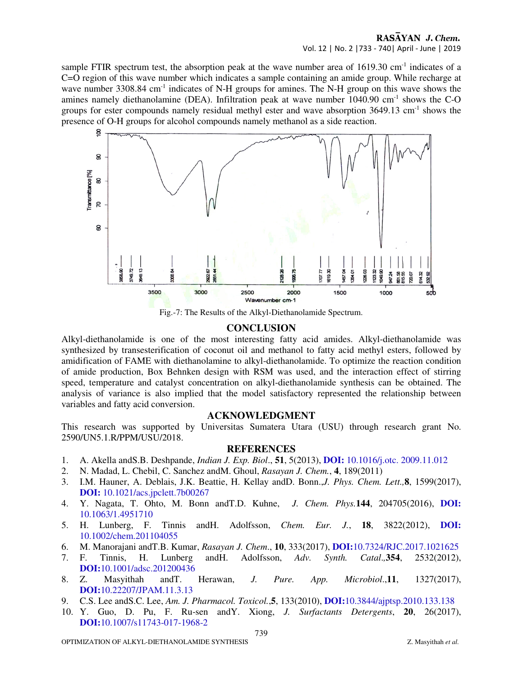#### RASAYAN J. Chem. Vol. 12 | No. 2 |733 - 740| April - June | 2019

sample FTIR spectrum test, the absorption peak at the wave number area of 1619.30 cm<sup>-1</sup> indicates of a C=O region of this wave number which indicates a sample containing an amide group. While recharge at wave number 3308.84 cm<sup>-1</sup> indicates of N-H groups for amines. The N-H group on this wave shows the amines namely diethanolamine (DEA). Infiltration peak at wave number  $1040.90 \text{ cm}^{-1}$  shows the C-O groups for ester compounds namely residual methyl ester and wave absorption  $3649.13$  cm<sup>-1</sup> shows the presence of O-H groups for alcohol compounds namely methanol as a side reaction.



Fig.-7: The Results of the Alkyl-Diethanolamide Spectrum.

### **CONCLUSION**

Alkyl-diethanolamide is one of the most interesting fatty acid amides. Alkyl-diethanolamide was synthesized by transesterification of coconut oil and methanol to fatty acid methyl esters, followed by amidification of FAME with diethanolamine to alkyl-diethanolamide. To optimize the reaction condition of amide production, Box Behnken design with RSM was used, and the interaction effect of stirring speed, temperature and catalyst concentration on alkyl-diethanolamide synthesis can be obtained. The analysis of variance is also implied that the model satisfactory represented the relationship between variables and fatty acid conversion.

## **ACKNOWLEDGMENT**

This research was supported by Universitas Sumatera Utara (USU) through research grant No. 2590/UN5.1.R/PPM/USU/2018.

#### **REFERENCES**

- 1. A. Akella andS.B. Deshpande, *Indian J. Exp. Biol*., **51**, 5(2013), **DOI:** 10.1016/j.otc. 2009.11.012
- 2. N. Madad, L. Chebil, C. Sanchez andM. Ghoul, *Rasayan J. Chem.*, **4**, 189(2011)
- 3. I.M. Hauner, A. Deblais, J.K. Beattie, H. Kellay andD. Bonn.,*J. Phys. Chem. Lett.,***8**, 1599(2017), **DOI:** 10.1021/acs.jpclett.7b00267
- 4. Y. Nagata, T. Ohto, M. Bonn andT.D. Kuhne, *J. Chem. Phys.***144**, 204705(2016), **DOI:**  10.1063/1.4951710
- 5. H. Lunberg, F. Tinnis andH. Adolfsson, *Chem. Eur. J.*, **18**, 3822(2012), **DOI:**  10.1002/chem.201104055
- 6. M. Manorajani andT.B. Kumar, *Rasayan J. Chem*., **10**, 333(2017), **DOI:**10.7324/RJC.2017.1021625
- 7. F. Tinnis, H. Lunberg andH. Adolfsson, *Adv. Synth. Catal*.*,***354**, 2532(2012), **DOI:**10.1001/adsc.201200436
- 8. Z. Masyithah andT. Herawan, *J. Pure. App. Microbiol*.,**11**, 1327(2017), **DOI:**10.22207/JPAM.11.3.13
- 9. C.S. Lee andS.C. Lee, *Am. J. Pharmacol. Toxicol.*,**5**, 133(2010), **DOI:**10.3844/ajptsp.2010.133.138
- 10. Y. Guo, D. Pu, F. Ru-sen andY. Xiong, *J. Surfactants Detergents*, **20**, 26(2017), **DOI:**10.1007/s11743-017-1968-2